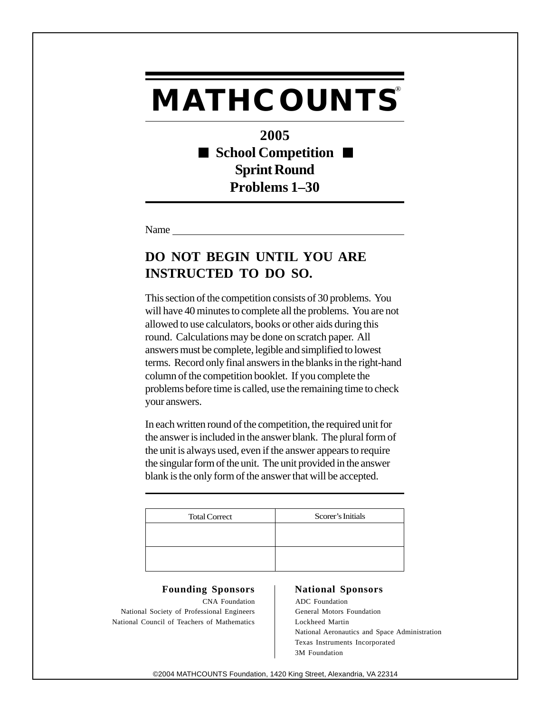## **MATHCOUNTS®**

**2005 School Competition**  $\blacksquare$ **Sprint Round Problems 1–30**

Name

## **DO NOT BEGIN UNTIL YOU ARE INSTRUCTED TO DO SO.**

This section of the competition consists of 30 problems. You will have 40 minutes to complete all the problems. You are not allowed to use calculators, books or other aids during this round. Calculations may be done on scratch paper. All answers must be complete, legible and simplified to lowest terms. Record only final answers in the blanks in the right-hand column of the competition booklet. If you complete the problems before time is called, use the remaining time to check your answers.

In each written round of the competition, the required unit for the answer is included in the answer blank. The plural form of the unit is always used, even if the answer appears to require the singular form of the unit. The unit provided in the answer blank is the only form of the answer that will be accepted.

| <b>Total Correct</b> | Scorer's Initials |
|----------------------|-------------------|
|                      |                   |
|                      |                   |
|                      |                   |

## Founding Sponsors | National Sponsors

CNA Foundation ADC Foundation National Society of Professional Engineers | General Motors Foundation National Council of Teachers of Mathematics <br>Lockheed Martin

National Aeronautics and Space Administration Texas Instruments Incorporated 3M Foundation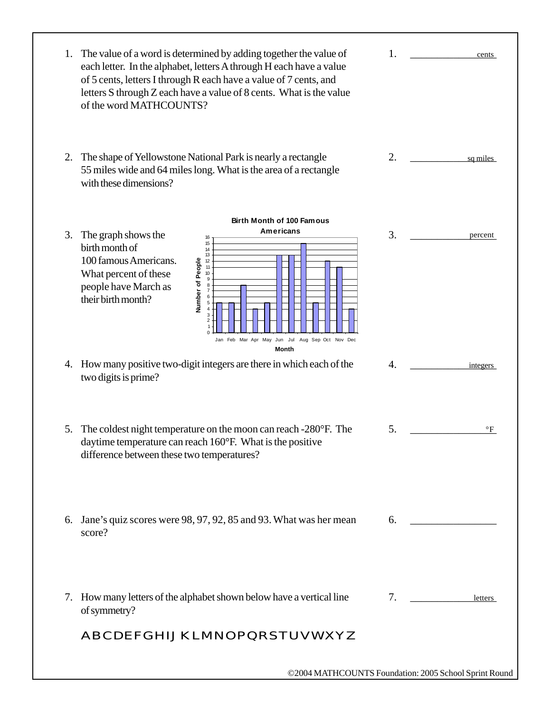| 1. | The value of a word is determined by adding together the value of<br>each letter. In the alphabet, letters A through H each have a value<br>of 5 cents, letters I through R each have a value of 7 cents, and<br>letters S through Z each have a value of 8 cents. What is the value<br>of the word MATHCOUNTS? | 1. | cents    |
|----|-----------------------------------------------------------------------------------------------------------------------------------------------------------------------------------------------------------------------------------------------------------------------------------------------------------------|----|----------|
| 2. | The shape of Yellowstone National Park is nearly a rectangle<br>55 miles wide and 64 miles long. What is the area of a rectangle<br>with these dimensions?                                                                                                                                                      | 2. | sq miles |
|    | <b>Birth Month of 100 Famous</b>                                                                                                                                                                                                                                                                                |    |          |
| 3. | <b>Americans</b><br>The graph shows the<br>16<br>15<br>birth month of<br>14<br>13<br>100 famous Americans.<br>Number of People<br>12<br>11<br>What percent of these<br>10<br>9<br>people have March as<br>8<br>their birth month?<br>Jan Feb Mar Apr May Jun Jul Aug Sep Oct Nov Dec<br>Month                   | 3. | percent  |
|    | 4. How many positive two-digit integers are there in which each of the<br>two digits is prime?                                                                                                                                                                                                                  | 4. | integers |
| 5. | The coldest night temperature on the moon can reach -280°F. The<br>daytime temperature can reach 160°F. What is the positive<br>difference between these two temperatures?                                                                                                                                      | 5. | °F       |
| 6. | Jane's quiz scores were 98, 97, 92, 85 and 93. What was her mean<br>score?                                                                                                                                                                                                                                      | 6. |          |
|    | 7. How many letters of the alphabet shown below have a vertical line<br>of symmetry?                                                                                                                                                                                                                            | 7. | letters  |
|    | ABCDEFGHIJKLMNOPQRSTUVWXYZ                                                                                                                                                                                                                                                                                      |    |          |
|    | ©2004 MATHCOUNTS Foundation: 2005 School Sprint Round                                                                                                                                                                                                                                                           |    |          |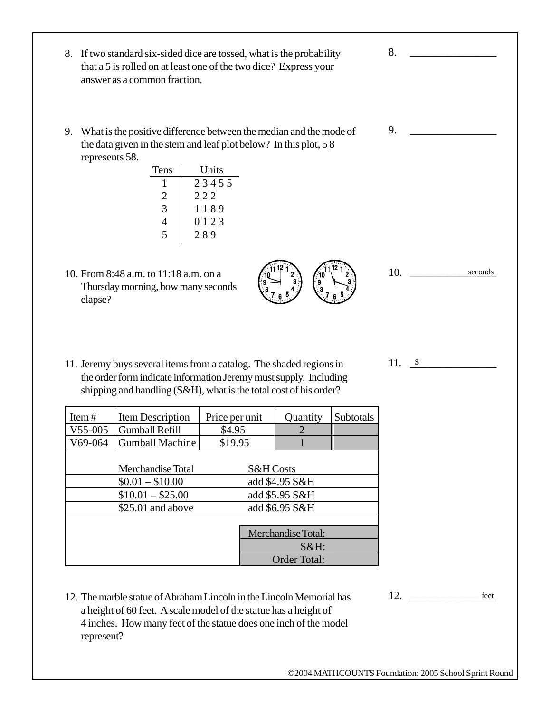Item # | Item Description | Price per unit | Quantity | Subtotals V55-005 Gumball Refill  $\begin{array}{|c|c|c|c|} \hline \text{S4.95} & \text{2} \end{array}$ V69-064 Gumball Machine \$19.95 1 Merchandise Total S&H Costs  $$0.01 - $10.00$  add \$4.95 S&H  $$10.01 - $25.00$  add \$5.95 S&H \$25.01 and above add \$6.95 S&H Merchandise Total: S&H: Order Total: 8. If two standard six-sided dice are tossed, what is the probability that a 5 is rolled on at least one of the two dice? Express your answer as a common fraction. 9. What is the positive difference between the median and the mode of the data given in the stem and leaf plot below? In this plot,  $5/8$ represents 58. Tens Units 1 2 3 4 5 5  $2 \mid 222$ 3 1 1 1 8 9 4 0 1 2 3  $5 \t 289$ 10. From 8:48 a.m. to 11:18 a.m. on a Thursday morning, how many seconds elapse? 11. Jeremy buys several items from a catalog. The shaded regions in the order form indicate information Jeremy must supply. Including shipping and handling (S&H), what is the total cost of his order? 12. The marble statue of Abraham Lincoln in the Lincoln Memorial has a height of 60 feet. A scale model of the statue has a height of 4 inches. How many feet of the statue does one inch of the model represent? 8. \_\_\_\_\_\_\_\_\_\_\_\_\_\_\_\_ 9. \_\_\_\_\_\_\_\_\_\_\_\_\_\_\_\_ 10. \_\_\_\_\_\_\_\_\_\_\_\_\_\_\_\_ 11. <u>\$</u> 12. \_\_\_\_\_\_\_\_\_\_\_\_\_\_\_\_ seconds feet

©2004 MATHCOUNTS Foundation: 2005 School Sprint Round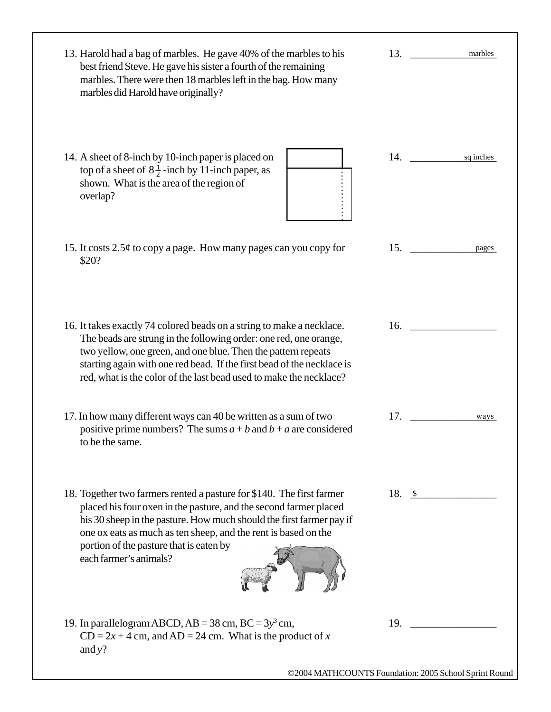| 13. Harold had a bag of marbles. He gave 40% of the marbles to his<br>best friend Steve. He gave his sister a fourth of the remaining<br>marbles. There were then 18 marbles left in the bag. How many<br>marbles did Harold have originally?                                                                                                               | 13.                | marbles |
|-------------------------------------------------------------------------------------------------------------------------------------------------------------------------------------------------------------------------------------------------------------------------------------------------------------------------------------------------------------|--------------------|---------|
| 14. A sheet of 8-inch by 10-inch paper is placed on<br>top of a sheet of $8\frac{1}{2}$ -inch by 11-inch paper, as<br>shown. What is the area of the region of<br>overlap?                                                                                                                                                                                  | 14. sq inches      |         |
| 15. It costs $2.5\phi$ to copy a page. How many pages can you copy for<br>\$20?                                                                                                                                                                                                                                                                             | 15.                | pages   |
| 16. It takes exactly 74 colored beads on a string to make a necklace.<br>The beads are strung in the following order: one red, one orange,<br>two yellow, one green, and one blue. Then the pattern repeats<br>starting again with one red bead. If the first bead of the necklace is<br>red, what is the color of the last bead used to make the necklace? | 16.                |         |
| 17. In how many different ways can 40 be written as a sum of two<br>positive prime numbers? The sums $a + b$ and $b + a$ are considered<br>to be the same.                                                                                                                                                                                                  | 17.                | ways    |
| 18. Together two farmers rented a pasture for \$140. The first farmer<br>placed his four oxen in the pasture, and the second farmer placed<br>his 30 sheep in the pasture. How much should the first farmer pay if<br>one ox eats as much as ten sheep, and the rent is based on the<br>portion of the pasture that is eaten by<br>each farmer's animals?   | 18. $\frac{\ }{s}$ |         |
| 19. In parallelogram ABCD, $AB = 38$ cm, $BC = 3y^3$ cm,<br>$CD = 2x + 4$ cm, and $AD = 24$ cm. What is the product of x<br>and $y$ ?                                                                                                                                                                                                                       | 19.                |         |
| ©2004 MATHCOUNTS Foundation: 2005 School Sprint Round                                                                                                                                                                                                                                                                                                       |                    |         |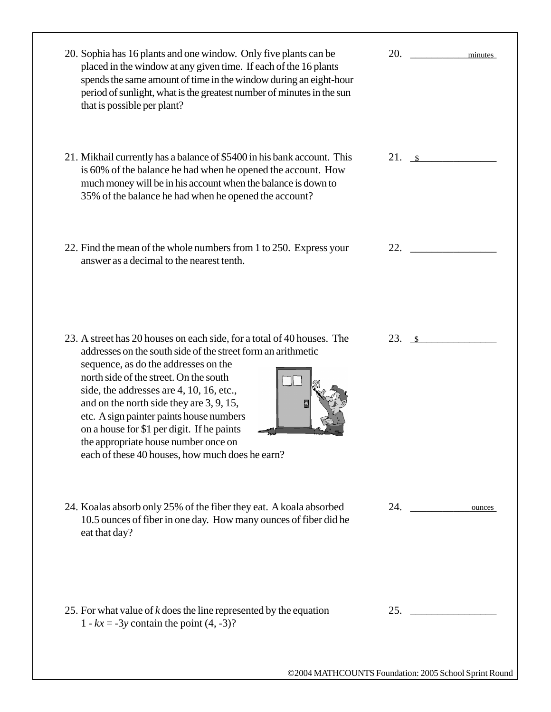| 20. Sophia has 16 plants and one window. Only five plants can be<br>placed in the window at any given time. If each of the 16 plants<br>spends the same amount of time in the window during an eight-hour<br>period of sunlight, what is the greatest number of minutes in the sun<br>that is possible per plant?                                                                                                                                                                                     | 20.<br>minutes        |
|-------------------------------------------------------------------------------------------------------------------------------------------------------------------------------------------------------------------------------------------------------------------------------------------------------------------------------------------------------------------------------------------------------------------------------------------------------------------------------------------------------|-----------------------|
| 21. Mikhail currently has a balance of \$5400 in his bank account. This<br>is 60% of the balance he had when he opened the account. How<br>much money will be in his account when the balance is down to<br>35% of the balance he had when he opened the account?                                                                                                                                                                                                                                     | 21. s                 |
| 22. Find the mean of the whole numbers from 1 to 250. Express your<br>answer as a decimal to the nearest tenth.                                                                                                                                                                                                                                                                                                                                                                                       | 22.                   |
| 23. A street has 20 houses on each side, for a total of 40 houses. The<br>addresses on the south side of the street form an arithmetic<br>sequence, as do the addresses on the<br>north side of the street. On the south<br>side, the addresses are 4, 10, 16, etc.,<br>and on the north side they are 3, 9, 15,<br>etc. A sign painter paints house numbers<br>on a house for \$1 per digit. If he paints<br>the appropriate house number once on<br>each of these 40 houses, how much does he earn? | $23. \pm \frac{1}{2}$ |
| 24. Koalas absorb only 25% of the fiber they eat. A koala absorbed<br>10.5 ounces of fiber in one day. How many ounces of fiber did he<br>eat that day?                                                                                                                                                                                                                                                                                                                                               | 24.<br>ounces         |
| 25. For what value of $k$ does the line represented by the equation<br>1 - $kx = -3y$ contain the point $(4, -3)$ ?                                                                                                                                                                                                                                                                                                                                                                                   |                       |